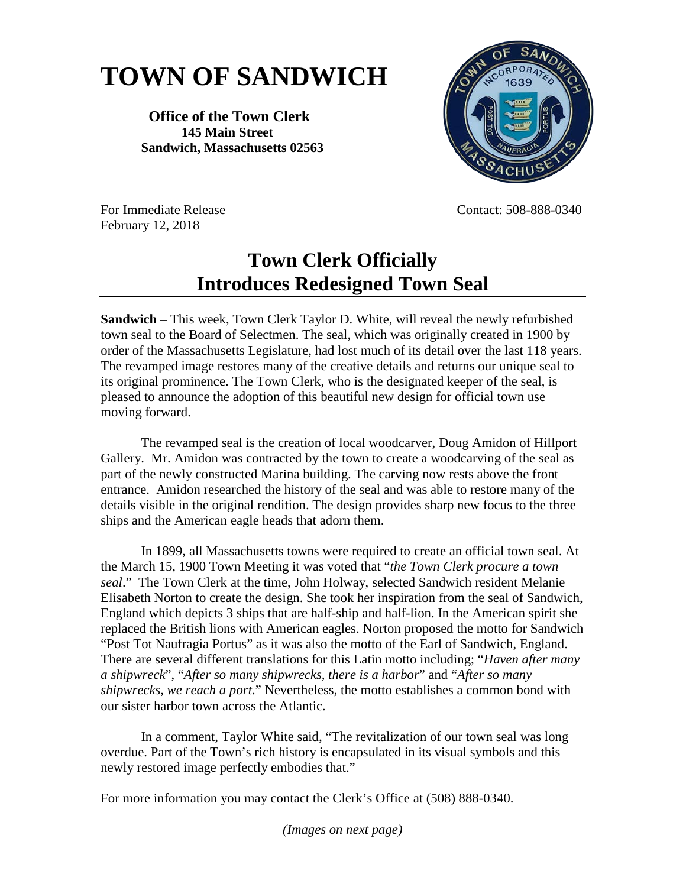## **TOWN OF SANDWICH**

## **Office of the Town Clerk 145 Main Street Sandwich, Massachusetts 02563**



February 12, 2018

For Immediate Release Contact: 508-888-0340

## **Town Clerk Officially Introduces Redesigned Town Seal**

**Sandwich** – This week, Town Clerk Taylor D. White, will reveal the newly refurbished town seal to the Board of Selectmen. The seal, which was originally created in 1900 by order of the Massachusetts Legislature, had lost much of its detail over the last 118 years. The revamped image restores many of the creative details and returns our unique seal to its original prominence. The Town Clerk, who is the designated keeper of the seal, is pleased to announce the adoption of this beautiful new design for official town use moving forward.

The revamped seal is the creation of local woodcarver, Doug Amidon of Hillport Gallery. Mr. Amidon was contracted by the town to create a woodcarving of the seal as part of the newly constructed Marina building. The carving now rests above the front entrance. Amidon researched the history of the seal and was able to restore many of the details visible in the original rendition. The design provides sharp new focus to the three ships and the American eagle heads that adorn them.

In 1899, all Massachusetts towns were required to create an official town seal. At the March 15, 1900 Town Meeting it was voted that "*the Town Clerk procure a town seal*." The Town Clerk at the time, John Holway, selected Sandwich resident Melanie Elisabeth Norton to create the design. She took her inspiration from the seal of Sandwich, England which depicts 3 ships that are half-ship and half-lion. In the American spirit she replaced the British lions with American eagles. Norton proposed the motto for Sandwich "Post Tot Naufragia Portus" as it was also the motto of the Earl of Sandwich, England. There are several different translations for this Latin motto including; "*Haven after many a shipwreck*", "*After so many shipwrecks, there is a harbor*" and "*After so many shipwrecks, we reach a port*." Nevertheless, the motto establishes a common bond with our sister harbor town across the Atlantic.

In a comment, Taylor White said, "The revitalization of our town seal was long overdue. Part of the Town's rich history is encapsulated in its visual symbols and this newly restored image perfectly embodies that."

For more information you may contact the Clerk's Office at (508) 888-0340.